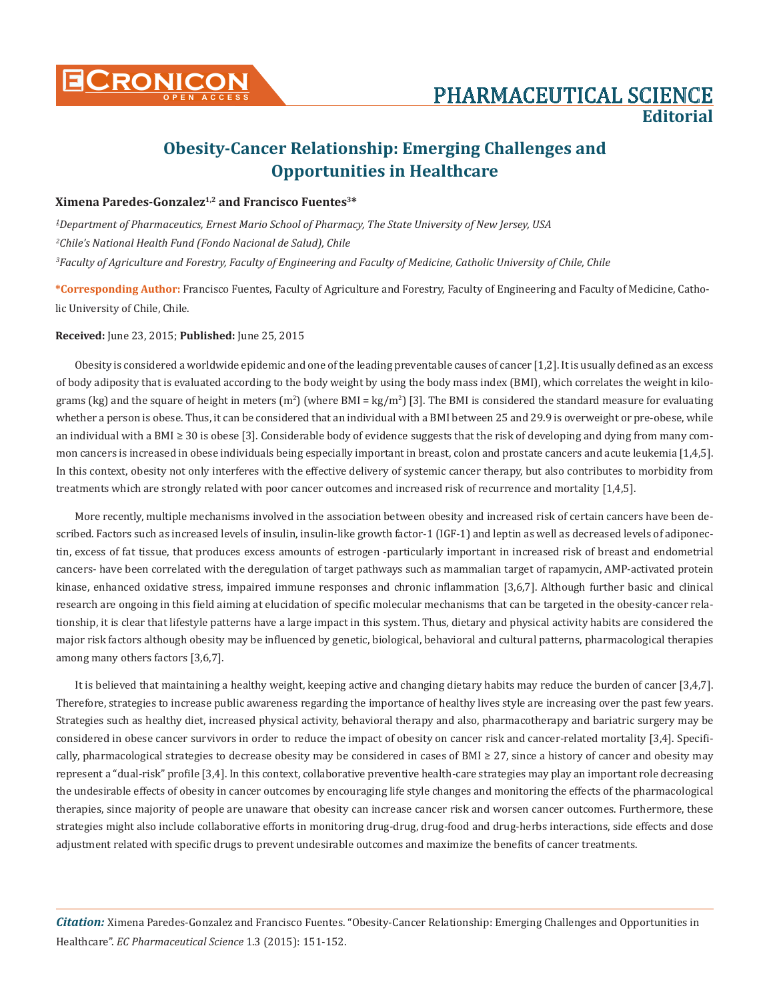

## **Obesity-Cancer Relationship: Emerging Challenges and Opportunities in Healthcare**

## **Ximena Paredes-Gonzalez1,2 and Francisco Fuentes3\***

*1 Department of Pharmaceutics, Ernest Mario School of Pharmacy, The State University of New Jersey, USA 2 Chile's National Health Fund (Fondo Nacional de Salud), Chile 3 Faculty of Agriculture and Forestry, Faculty of Engineering and Faculty of Medicine, Catholic University of Chile, Chile*

**\*Corresponding Author:** Francisco Fuentes, Faculty of Agriculture and Forestry, Faculty of Engineering and Faculty of Medicine, Catholic University of Chile, Chile.

## **Received:** June 23, 2015; **Published:** June 25, 2015

Obesity is considered a worldwide epidemic and one of the leading preventable causes of cancer [1,2]. It is usually defined as an excess of body adiposity that is evaluated according to the body weight by using the body mass index (BMI), which correlates the weight in kilograms (kg) and the square of height in meters (m<sup>2</sup>) (where BMI = kg/m<sup>2</sup>) [3]. The BMI is considered the standard measure for evaluating whether a person is obese. Thus, it can be considered that an individual with a BMI between 25 and 29.9 is overweight or pre-obese, while an individual with a BMI ≥ 30 is obese [3]. Considerable body of evidence suggests that the risk of developing and dying from many common cancers is increased in obese individuals being especially important in breast, colon and prostate cancers and acute leukemia [1,4,5]. In this context, obesity not only interferes with the effective delivery of systemic cancer therapy, but also contributes to morbidity from treatments which are strongly related with poor cancer outcomes and increased risk of recurrence and mortality [1,4,5].

More recently, multiple mechanisms involved in the association between obesity and increased risk of certain cancers have been described. Factors such as increased levels of insulin, insulin-like growth factor-1 (IGF-1) and leptin as well as decreased levels of adiponectin, excess of fat tissue, that produces excess amounts of estrogen -particularly important in increased risk of breast and endometrial cancers- have been correlated with the deregulation of target pathways such as mammalian target of rapamycin, AMP-activated protein kinase, enhanced oxidative stress, impaired immune responses and chronic inflammation [3,6,7]. Although further basic and clinical research are ongoing in this field aiming at elucidation of specific molecular mechanisms that can be targeted in the obesity-cancer relationship, it is clear that lifestyle patterns have a large impact in this system. Thus, dietary and physical activity habits are considered the major risk factors although obesity may be influenced by genetic, biological, behavioral and cultural patterns, pharmacological therapies among many others factors [3,6,7].

It is believed that maintaining a healthy weight, keeping active and changing dietary habits may reduce the burden of cancer [3,4,7]. Therefore, strategies to increase public awareness regarding the importance of healthy lives style are increasing over the past few years. Strategies such as healthy diet, increased physical activity, behavioral therapy and also, pharmacotherapy and bariatric surgery may be considered in obese cancer survivors in order to reduce the impact of obesity on cancer risk and cancer-related mortality [3,4]. Specifically, pharmacological strategies to decrease obesity may be considered in cases of BMI ≥ 27, since a history of cancer and obesity may represent a "dual-risk" profile [3,4]. In this context, collaborative preventive health-care strategies may play an important role decreasing the undesirable effects of obesity in cancer outcomes by encouraging life style changes and monitoring the effects of the pharmacological therapies, since majority of people are unaware that obesity can increase cancer risk and worsen cancer outcomes. Furthermore, these strategies might also include collaborative efforts in monitoring drug-drug, drug-food and drug-herbs interactions, side effects and dose adjustment related with specific drugs to prevent undesirable outcomes and maximize the benefits of cancer treatments.

*Citation:* Ximena Paredes-Gonzalez and Francisco Fuentes. "Obesity-Cancer Relationship: Emerging Challenges and Opportunities in Healthcare". *EC Pharmaceutical Science* 1.3 (2015): 151-152.